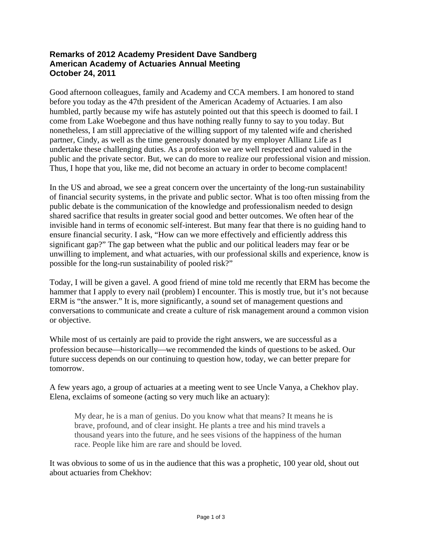## **Remarks of 2012 Academy President Dave Sandberg American Academy of Actuaries Annual Meeting October 24, 2011**

Good afternoon colleagues, family and Academy and CCA members. I am honored to stand before you today as the 47th president of the American Academy of Actuaries. I am also humbled, partly because my wife has astutely pointed out that this speech is doomed to fail. I come from Lake Woebegone and thus have nothing really funny to say to you today. But nonetheless, I am still appreciative of the willing support of my talented wife and cherished partner, Cindy, as well as the time generously donated by my employer Allianz Life as I undertake these challenging duties. As a profession we are well respected and valued in the public and the private sector. But, we can do more to realize our professional vision and mission. Thus, I hope that you, like me, did not become an actuary in order to become complacent!

In the US and abroad, we see a great concern over the uncertainty of the long-run sustainability of financial security systems, in the private and public sector. What is too often missing from the public debate is the communication of the knowledge and professionalism needed to design shared sacrifice that results in greater social good and better outcomes. We often hear of the invisible hand in terms of economic self-interest. But many fear that there is no guiding hand to ensure financial security. I ask, "How can we more effectively and efficiently address this significant gap?" The gap between what the public and our political leaders may fear or be unwilling to implement, and what actuaries, with our professional skills and experience, know is possible for the long-run sustainability of pooled risk?"

Today, I will be given a gavel. A good friend of mine told me recently that ERM has become the hammer that I apply to every nail (problem) I encounter. This is mostly true, but it's not because ERM is "the answer." It is, more significantly, a sound set of management questions and conversations to communicate and create a culture of risk management around a common vision or objective.

While most of us certainly are paid to provide the right answers, we are successful as a profession because—historically—we recommended the kinds of questions to be asked. Our future success depends on our continuing to question how, today, we can better prepare for tomorrow.

A few years ago, a group of actuaries at a meeting went to see Uncle Vanya, a Chekhov play. Elena, exclaims of someone (acting so very much like an actuary):

My dear, he is a man of genius. Do you know what that means? It means he is brave, profound, and of clear insight. He plants a tree and his mind travels a thousand years into the future, and he sees visions of the happiness of the human race. People like him are rare and should be loved.

It was obvious to some of us in the audience that this was a prophetic, 100 year old, shout out about actuaries from Chekhov: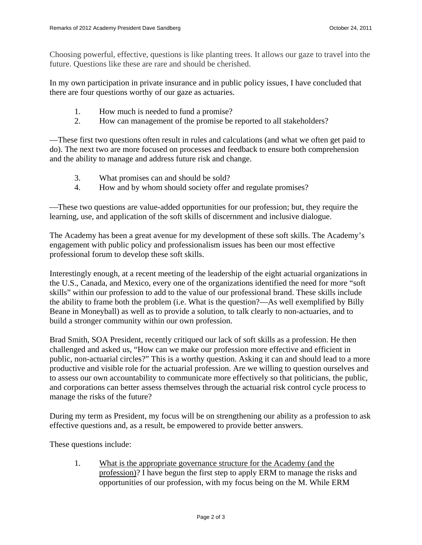Choosing powerful, effective, questions is like planting trees. It allows our gaze to travel into the future. Questions like these are rare and should be cherished.

In my own participation in private insurance and in public policy issues, I have concluded that there are four questions worthy of our gaze as actuaries.

- 1. How much is needed to fund a promise?
- 2. How can management of the promise be reported to all stakeholders?

—These first two questions often result in rules and calculations (and what we often get paid to do). The next two are more focused on processes and feedback to ensure both comprehension and the ability to manage and address future risk and change.

- 3. What promises can and should be sold?
- 4. How and by whom should society offer and regulate promises?

— These two questions are value-added opportunities for our profession; but, they require the learning, use, and application of the soft skills of discernment and inclusive dialogue.

The Academy has been a great avenue for my development of these soft skills. The Academy's engagement with public policy and professionalism issues has been our most effective professional forum to develop these soft skills.

Interestingly enough, at a recent meeting of the leadership of the eight actuarial organizations in the U.S., Canada, and Mexico, every one of the organizations identified the need for more "soft skills" within our profession to add to the value of our professional brand. These skills include the ability to frame both the problem (i.e. What is the question?—As well exemplified by Billy Beane in Moneyball) as well as to provide a solution, to talk clearly to non-actuaries, and to build a stronger community within our own profession.

Brad Smith, SOA President, recently critiqued our lack of soft skills as a profession. He then challenged and asked us, "How can we make our profession more effective and efficient in public, non-actuarial circles?" This is a worthy question. Asking it can and should lead to a more productive and visible role for the actuarial profession. Are we willing to question ourselves and to assess our own accountability to communicate more effectively so that politicians, the public, and corporations can better assess themselves through the actuarial risk control cycle process to manage the risks of the future?

During my term as President, my focus will be on strengthening our ability as a profession to ask effective questions and, as a result, be empowered to provide better answers.

These questions include:

1. What is the appropriate governance structure for the Academy (and the profession)? I have begun the first step to apply ERM to manage the risks and opportunities of our profession, with my focus being on the M. While ERM